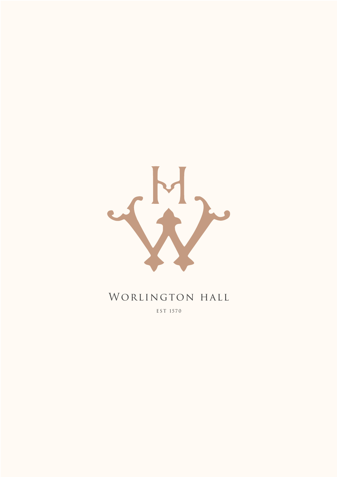

## WORLINGTON HALL

EST 1570